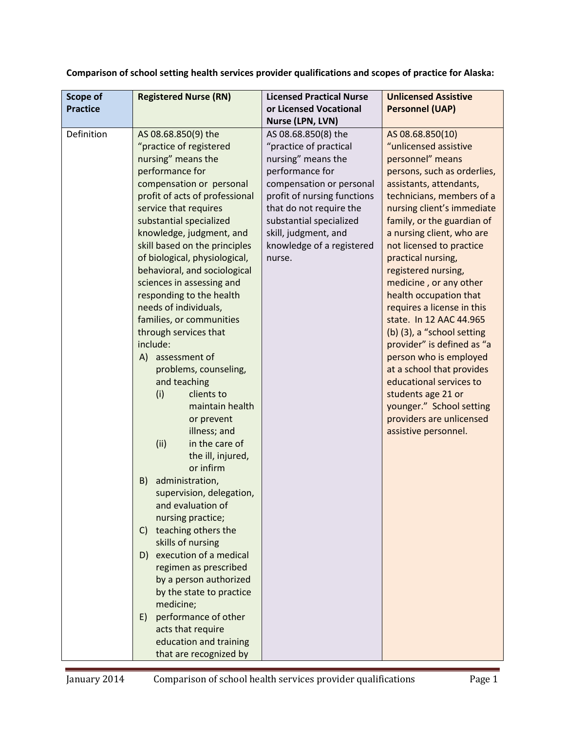|  |  |  | Comparison of school setting health services provider qualifications and scopes of practice for Alaska: |
|--|--|--|---------------------------------------------------------------------------------------------------------|
|--|--|--|---------------------------------------------------------------------------------------------------------|

| <b>Scope of</b> |                                | <b>Licensed Practical Nurse</b> | <b>Unlicensed Assistive</b> |
|-----------------|--------------------------------|---------------------------------|-----------------------------|
| <b>Practice</b> | <b>Registered Nurse (RN)</b>   | or Licensed Vocational          | <b>Personnel (UAP)</b>      |
|                 |                                | Nurse (LPN, LVN)                |                             |
| Definition      | AS 08.68.850(9) the            | AS 08.68.850(8) the             | AS 08.68.850(10)            |
|                 | "practice of registered        | "practice of practical          | "unlicensed assistive       |
|                 | nursing" means the             | nursing" means the              | personnel" means            |
|                 | performance for                | performance for                 | persons, such as orderlies, |
|                 | compensation or personal       | compensation or personal        | assistants, attendants,     |
|                 | profit of acts of professional | profit of nursing functions     | technicians, members of a   |
|                 | service that requires          | that do not require the         | nursing client's immediate  |
|                 | substantial specialized        | substantial specialized         | family, or the guardian of  |
|                 | knowledge, judgment, and       | skill, judgment, and            | a nursing client, who are   |
|                 | skill based on the principles  | knowledge of a registered       | not licensed to practice    |
|                 | of biological, physiological,  | nurse.                          | practical nursing,          |
|                 | behavioral, and sociological   |                                 | registered nursing,         |
|                 | sciences in assessing and      |                                 | medicine, or any other      |
|                 | responding to the health       |                                 | health occupation that      |
|                 | needs of individuals,          |                                 | requires a license in this  |
|                 | families, or communities       |                                 | state. In 12 AAC 44.965     |
|                 | through services that          |                                 | (b) (3), a "school setting  |
|                 | include:                       |                                 | provider" is defined as "a  |
|                 | A) assessment of               |                                 | person who is employed      |
|                 | problems, counseling,          |                                 | at a school that provides   |
|                 | and teaching                   |                                 | educational services to     |
|                 | (i)<br>clients to              |                                 | students age 21 or          |
|                 | maintain health                |                                 | younger." School setting    |
|                 | or prevent                     |                                 | providers are unlicensed    |
|                 | illness; and<br>in the care of |                                 | assistive personnel.        |
|                 | (ii)                           |                                 |                             |
|                 | the ill, injured,<br>or infirm |                                 |                             |
|                 | administration,<br>B)          |                                 |                             |
|                 | supervision, delegation,       |                                 |                             |
|                 | and evaluation of              |                                 |                             |
|                 | nursing practice;              |                                 |                             |
|                 | teaching others the<br>C)      |                                 |                             |
|                 | skills of nursing              |                                 |                             |
|                 | execution of a medical<br>D)   |                                 |                             |
|                 | regimen as prescribed          |                                 |                             |
|                 | by a person authorized         |                                 |                             |
|                 | by the state to practice       |                                 |                             |
|                 | medicine;                      |                                 |                             |
|                 | performance of other<br>E)     |                                 |                             |
|                 | acts that require              |                                 |                             |
|                 | education and training         |                                 |                             |
|                 | that are recognized by         |                                 |                             |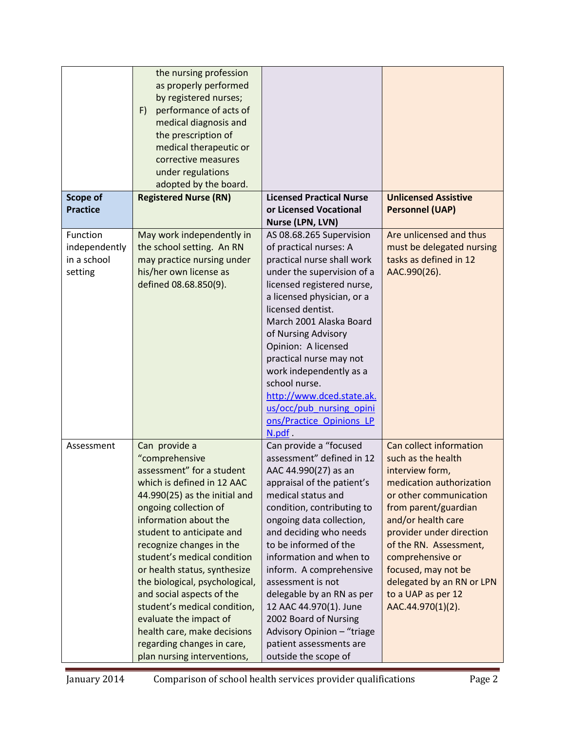| Scope of<br><b>Practice</b>                         | the nursing profession<br>as properly performed<br>by registered nurses;<br>performance of acts of<br>F)<br>medical diagnosis and<br>the prescription of<br>medical therapeutic or<br>corrective measures<br>under regulations<br>adopted by the board.<br><b>Registered Nurse (RN)</b>                                                                                                                                                                                                                                    | <b>Licensed Practical Nurse</b><br>or Licensed Vocational                                                                                                                                                                                                                                                                                                                                                                                                                                | <b>Unlicensed Assistive</b><br><b>Personnel (UAP)</b>                                                                                                                                                                                                                                                                                         |
|-----------------------------------------------------|----------------------------------------------------------------------------------------------------------------------------------------------------------------------------------------------------------------------------------------------------------------------------------------------------------------------------------------------------------------------------------------------------------------------------------------------------------------------------------------------------------------------------|------------------------------------------------------------------------------------------------------------------------------------------------------------------------------------------------------------------------------------------------------------------------------------------------------------------------------------------------------------------------------------------------------------------------------------------------------------------------------------------|-----------------------------------------------------------------------------------------------------------------------------------------------------------------------------------------------------------------------------------------------------------------------------------------------------------------------------------------------|
|                                                     |                                                                                                                                                                                                                                                                                                                                                                                                                                                                                                                            | Nurse (LPN, LVN)                                                                                                                                                                                                                                                                                                                                                                                                                                                                         |                                                                                                                                                                                                                                                                                                                                               |
| Function<br>independently<br>in a school<br>setting | May work independently in<br>the school setting. An RN<br>may practice nursing under<br>his/her own license as<br>defined 08.68.850(9).                                                                                                                                                                                                                                                                                                                                                                                    | AS 08.68.265 Supervision<br>of practical nurses: A<br>practical nurse shall work<br>under the supervision of a<br>licensed registered nurse,<br>a licensed physician, or a<br>licensed dentist.<br>March 2001 Alaska Board<br>of Nursing Advisory<br>Opinion: A licensed<br>practical nurse may not<br>work independently as a<br>school nurse.<br>http://www.dced.state.ak.<br>us/occ/pub nursing opini<br>ons/Practice Opinions LP<br>N.pdf.                                           | Are unlicensed and thus<br>must be delegated nursing<br>tasks as defined in 12<br>AAC.990(26).                                                                                                                                                                                                                                                |
| Assessment                                          | Can provide a<br>"comprehensive<br>assessment" for a student<br>which is defined in 12 AAC<br>44.990(25) as the initial and<br>ongoing collection of<br>information about the<br>student to anticipate and<br>recognize changes in the<br>student's medical condition<br>or health status, synthesize<br>the biological, psychological,<br>and social aspects of the<br>student's medical condition,<br>evaluate the impact of<br>health care, make decisions<br>regarding changes in care,<br>plan nursing interventions, | Can provide a "focused<br>assessment" defined in 12<br>AAC 44.990(27) as an<br>appraisal of the patient's<br>medical status and<br>condition, contributing to<br>ongoing data collection,<br>and deciding who needs<br>to be informed of the<br>information and when to<br>inform. A comprehensive<br>assessment is not<br>delegable by an RN as per<br>12 AAC 44.970(1). June<br>2002 Board of Nursing<br>Advisory Opinion - "triage<br>patient assessments are<br>outside the scope of | Can collect information<br>such as the health<br>interview form,<br>medication authorization<br>or other communication<br>from parent/guardian<br>and/or health care<br>provider under direction<br>of the RN. Assessment,<br>comprehensive or<br>focused, may not be<br>delegated by an RN or LPN<br>to a UAP as per 12<br>AAC.44.970(1)(2). |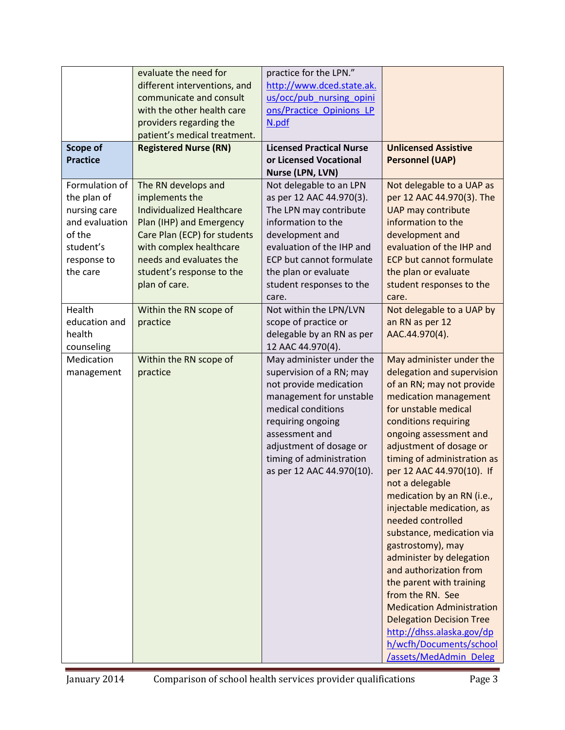|                 | evaluate the need for            | practice for the LPN."          |                                                |
|-----------------|----------------------------------|---------------------------------|------------------------------------------------|
|                 | different interventions, and     | http://www.dced.state.ak.       |                                                |
|                 | communicate and consult          | us/occ/pub nursing opini        |                                                |
|                 | with the other health care       | ons/Practice Opinions LP        |                                                |
|                 | providers regarding the          | N.pdf                           |                                                |
|                 | patient's medical treatment.     |                                 |                                                |
| <b>Scope of</b> | <b>Registered Nurse (RN)</b>     | <b>Licensed Practical Nurse</b> | <b>Unlicensed Assistive</b>                    |
| <b>Practice</b> |                                  | or Licensed Vocational          | <b>Personnel (UAP)</b>                         |
|                 |                                  | Nurse (LPN, LVN)                |                                                |
| Formulation of  | The RN develops and              | Not delegable to an LPN         | Not delegable to a UAP as                      |
| the plan of     | implements the                   | as per 12 AAC 44.970(3).        | per 12 AAC 44.970(3). The                      |
| nursing care    | <b>Individualized Healthcare</b> | The LPN may contribute          | <b>UAP may contribute</b>                      |
| and evaluation  | Plan (IHP) and Emergency         | information to the              | information to the                             |
| of the          | Care Plan (ECP) for students     | development and                 | development and                                |
| student's       | with complex healthcare          | evaluation of the IHP and       | evaluation of the IHP and                      |
| response to     | needs and evaluates the          | ECP but cannot formulate        | <b>ECP but cannot formulate</b>                |
| the care        | student's response to the        | the plan or evaluate            | the plan or evaluate                           |
|                 | plan of care.                    | student responses to the        | student responses to the                       |
|                 |                                  | care.                           | care.                                          |
| Health          | Within the RN scope of           | Not within the LPN/LVN          | Not delegable to a UAP by                      |
| education and   | practice                         | scope of practice or            | an RN as per 12                                |
| health          |                                  | delegable by an RN as per       | AAC.44.970(4).                                 |
| counseling      |                                  | 12 AAC 44.970(4).               |                                                |
| Medication      | Within the RN scope of           | May administer under the        | May administer under the                       |
| management      | practice                         | supervision of a RN; may        | delegation and supervision                     |
|                 |                                  | not provide medication          | of an RN; may not provide                      |
|                 |                                  | management for unstable         | medication management                          |
|                 |                                  | medical conditions              | for unstable medical                           |
|                 |                                  | requiring ongoing               | conditions requiring                           |
|                 |                                  | assessment and                  | ongoing assessment and                         |
|                 |                                  |                                 |                                                |
|                 |                                  | adjustment of dosage or         | adjustment of dosage or                        |
|                 |                                  | timing of administration        | timing of administration as                    |
|                 |                                  | as per 12 AAC 44.970(10).       | per 12 AAC 44.970(10). If                      |
|                 |                                  |                                 | not a delegable                                |
|                 |                                  |                                 | medication by an RN (i.e.,                     |
|                 |                                  |                                 | injectable medication, as<br>needed controlled |
|                 |                                  |                                 |                                                |
|                 |                                  |                                 | substance, medication via                      |
|                 |                                  |                                 | gastrostomy), may                              |
|                 |                                  |                                 | administer by delegation                       |
|                 |                                  |                                 | and authorization from                         |
|                 |                                  |                                 | the parent with training                       |
|                 |                                  |                                 | from the RN. See                               |
|                 |                                  |                                 | <b>Medication Administration</b>               |
|                 |                                  |                                 | <b>Delegation Decision Tree</b>                |
|                 |                                  |                                 | http://dhss.alaska.gov/dp                      |
|                 |                                  |                                 | h/wcfh/Documents/school                        |
|                 |                                  |                                 | /assets/MedAdmin_Deleg                         |